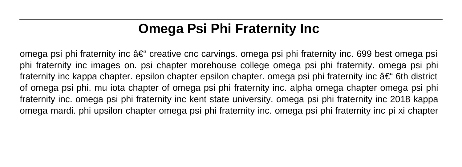# **Omega Psi Phi Fraternity Inc**

omega psi phi fraternity inc  $\hat{a}\in$ " creative cnc carvings. omega psi phi fraternity inc. 699 best omega psi phi fraternity inc images on. psi chapter morehouse college omega psi phi fraternity. omega psi phi fraternity inc kappa chapter. epsilon chapter epsilon chapter. omega psi phi fraternity inc  $\hat{a}\in$  6th district of omega psi phi. mu iota chapter of omega psi phi fraternity inc. alpha omega chapter omega psi phi fraternity inc. omega psi phi fraternity inc kent state university. omega psi phi fraternity inc 2018 kappa omega mardi. phi upsilon chapter omega psi phi fraternity inc. omega psi phi fraternity inc pi xi chapter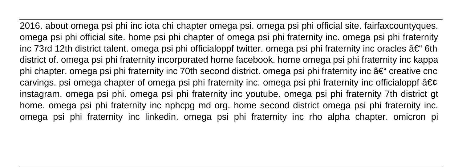2016. about omega psi phi inc iota chi chapter omega psi. omega psi phi official site. fairfaxcountyques. omega psi phi official site. home psi phi chapter of omega psi phi fraternity inc. omega psi phi fraternity inc 73rd 12th district talent. omega psi phi officialoppf twitter. omega psi phi fraternity inc oracles – 6th district of. omega psi phi fraternity incorporated home facebook. home omega psi phi fraternity inc kappa phi chapter. omega psi phi fraternity inc 70th second district. omega psi phi fraternity inc  $\hat{a}\epsilon$ " creative cnc carvings. psi omega chapter of omega psi phi fraternity inc. omega psi phi fraternity inc officialoppf  $\hat{a} \in \mathfrak{C}$ instagram. omega psi phi. omega psi phi fraternity inc youtube. omega psi phi fraternity 7th district gt home. omega psi phi fraternity inc nphcpg md org. home second district omega psi phi fraternity inc. omega psi phi fraternity inc linkedin. omega psi phi fraternity inc rho alpha chapter. omicron pi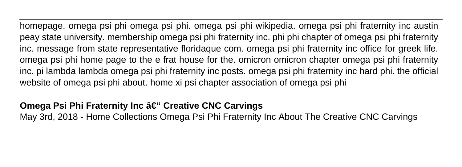homepage. omega psi phi omega psi phi. omega psi phi wikipedia. omega psi phi fraternity inc austin peay state university. membership omega psi phi fraternity inc. phi phi chapter of omega psi phi fraternity inc. message from state representative floridaque com. omega psi phi fraternity inc office for greek life. omega psi phi home page to the e frat house for the. omicron omicron chapter omega psi phi fraternity inc. pi lambda lambda omega psi phi fraternity inc posts. omega psi phi fraternity inc hard phi. the official website of omega psi phi about. home xi psi chapter association of omega psi phi

#### **Omega Psi Phi Fraternity Inc – Creative CNC Carvings**

May 3rd, 2018 - Home Collections Omega Psi Phi Fraternity Inc About The Creative CNC Carvings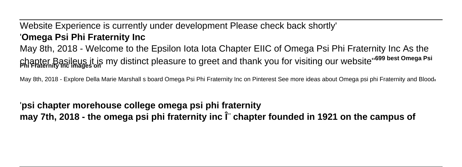Website Experience is currently under development Please check back shortly' '**Omega Psi Phi Fraternity Inc** May 8th, 2018 - Welcome to the Epsilon Iota Iota Chapter EIIC of Omega Psi Phi Fraternity Inc As the chapter Basileus it is my distinct pleasure to greet and thank you for visiting our website''**699 best Omega Psi Phi Fraternity Inc images on**

May 8th, 2018 - Explore Della Marie Marshall s board Omega Psi Phi Fraternity Inc on Pinterest See more ideas about Omega psi phi Fraternity and Blood,

'**psi chapter morehouse college omega psi phi fraternity** may 7th, 2018 - the omega psi phi fraternity inc  $\hat{\Gamma}$  chapter founded in 1921 on the campus of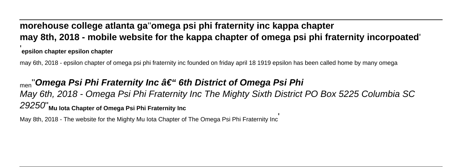#### **morehouse college atlanta ga**''**omega psi phi fraternity inc kappa chapter may 8th, 2018 - mobile website for the kappa chapter of omega psi phi fraternity incorpoated**' '**epsilon chapter epsilon chapter**

may 6th, 2018 - epsilon chapter of omega psi phi fraternity inc founded on friday april 18 1919 epsilon has been called home by many omega

# <sub>men</sub>"Omega Psi Phi Fraternity Inc †"6th District of Omega Psi Phi May 6th, 2018 - Omega Psi Phi Fraternity Inc The Mighty Sixth District PO Box 5225 Columbia SC 29250''**Mu Iota Chapter of Omega Psi Phi Fraternity Inc**

May 8th, 2018 - The website for the Mighty Mu Iota Chapter of The Omega Psi Phi Fraternity Inc'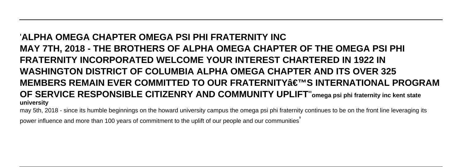# '**ALPHA OMEGA CHAPTER OMEGA PSI PHI FRATERNITY INC MAY 7TH, 2018 - THE BROTHERS OF ALPHA OMEGA CHAPTER OF THE OMEGA PSI PHI FRATERNITY INCORPORATED WELCOME YOUR INTEREST CHARTERED IN 1922 IN WASHINGTON DISTRICT OF COLUMBIA ALPHA OMEGA CHAPTER AND ITS OVER 325 MEMBERS REMAIN EVER COMMITTED TO OUR FRATERNITY'S INTERNATIONAL PROGRAM OF SERVICE RESPONSIBLE CITIZENRY AND COMMUNITY UPLIFT**''**omega psi phi fraternity inc kent state university**

may 5th, 2018 - since its humble beginnings on the howard university campus the omega psi phi fraternity continues to be on the front line leveraging its

power influence and more than 100 years of commitment to the uplift of our people and our communities'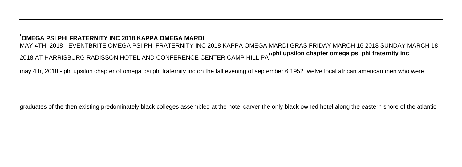#### '**OMEGA PSI PHI FRATERNITY INC 2018 KAPPA OMEGA MARDI**

MAY 4TH, 2018 - EVENTBRITE OMEGA PSI PHI FRATERNITY INC 2018 KAPPA OMEGA MARDI GRAS FRIDAY MARCH 16 2018 SUNDAY MARCH 18 2018 AT HARRISBURG RADISSON HOTEL AND CONFERENCE CENTER CAMP HILL PA''**phi upsilon chapter omega psi phi fraternity inc**

may 4th, 2018 - phi upsilon chapter of omega psi phi fraternity inc on the fall evening of september 6 1952 twelve local african american men who were

graduates of the then existing predominately black colleges assembled at the hotel carver the only black owned hotel along the eastern shore of the atlantic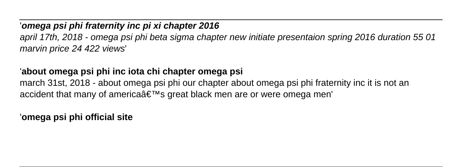# '**omega psi phi fraternity inc pi xi chapter 2016** april 17th, 2018 - omega psi phi beta sigma chapter new initiate presentaion spring 2016 duration 55 01 marvin price 24 422 views'

### '**about omega psi phi inc iota chi chapter omega psi**

march 31st, 2018 - about omega psi phi our chapter about omega psi phi fraternity inc it is not an accident that many of america's great black men are or were omega men'

'**omega psi phi official site**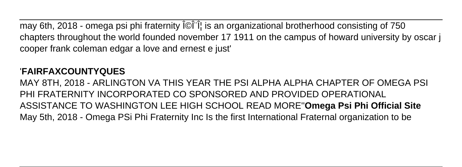may 6th, 2018 - omega psi phi fraternity ΩΠΦ is an organizational brotherhood consisting of 750 chapters throughout the world founded november 17 1911 on the campus of howard university by oscar j cooper frank coleman edgar a love and ernest e just'

# '**FAIRFAXCOUNTYQUES**

MAY 8TH, 2018 - ARLINGTON VA THIS YEAR THE PSI ALPHA ALPHA CHAPTER OF OMEGA PSI PHI FRATERNITY INCORPORATED CO SPONSORED AND PROVIDED OPERATIONAL ASSISTANCE TO WASHINGTON LEE HIGH SCHOOL READ MORE''**Omega Psi Phi Official Site** May 5th, 2018 - Omega PSi Phi Fraternity Inc Is the first International Fraternal organization to be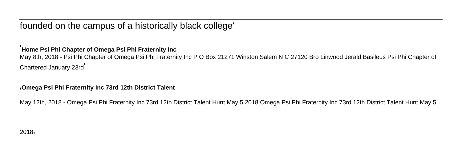founded on the campus of a historically black college'

#### '**Home Psi Phi Chapter of Omega Psi Phi Fraternity Inc**

May 8th, 2018 - Psi Phi Chapter of Omega Psi Phi Fraternity Inc P O Box 21271 Winston Salem N C 27120 Bro Linwood Jerald Basileus Psi Phi Chapter of Chartered January 23rd'

#### '**Omega Psi Phi Fraternity Inc 73rd 12th District Talent**

May 12th, 2018 - Omega Psi Phi Fraternity Inc 73rd 12th District Talent Hunt May 5 2018 Omega Psi Phi Fraternity Inc 73rd 12th District Talent Hunt May 5

2018'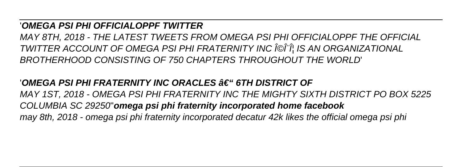#### '**OMEGA PSI PHI OFFICIALOPPF TWITTER**

MAY 8TH, 2018 - THE LATEST TWEETS FROM OMEGA PSI PHI OFFICIALOPPF THE OFFICIAL TWITTER ACCOUNT OF OMEGA PSI PHI FRATERNITY INC ΩΠΦ IS AN ORGANIZATIONAL BROTHERHOOD CONSISTING OF 750 CHAPTERS THROUGHOUT THE WORLD'

# '**OMEGA PSI PHI FRATERNITY INC ORACLES – 6TH DISTRICT OF**

MAY 1ST, 2018 - OMEGA PSI PHI FRATERNITY INC THE MIGHTY SIXTH DISTRICT PO BOX 5225 COLUMBIA SC 29250''**omega psi phi fraternity incorporated home facebook** may 8th, 2018 - omega psi phi fraternity incorporated decatur 42k likes the official omega psi phi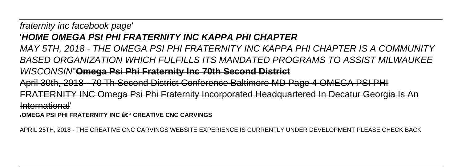### fraternity inc facebook page' '**HOME OMEGA PSI PHI FRATERNITY INC KAPPA PHI CHAPTER**

MAY 5TH, 2018 - THE OMEGA PSI PHI FRATERNITY INC KAPPA PHI CHAPTER IS A COMMUNITY BASED ORGANIZATION WHICH FULFILLS ITS MANDATED PROGRAMS TO ASSIST MILWAUKEE WISCONSIN''**Omega Psi Phi Fraternity Inc 70th Second District** April 30th, 2018 - 70 Th Second District Conference Baltimore MD Page 4 OMEGA PSI PHI FRATERNITY INC Omega Psi Phi Fraternity Incorporated Headquartered In Decatur Georgia Is An International'

<sub>'</sub>OMEGA PSI PHI FRATERNITY INC – CREATIVE CNC CARVINGS

APRIL 25TH, 2018 - THE CREATIVE CNC CARVINGS WEBSITE EXPERIENCE IS CURRENTLY UNDER DEVELOPMENT PLEASE CHECK BACK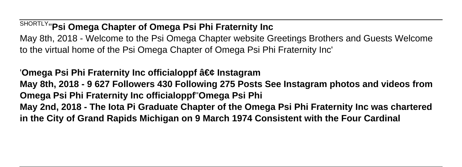SHORTLY''**Psi Omega Chapter of Omega Psi Phi Fraternity Inc** May 8th, 2018 - Welcome to the Psi Omega Chapter website Greetings Brothers and Guests Welcome to the virtual home of the Psi Omega Chapter of Omega Psi Phi Fraternity Inc'

'Omega Psi Phi Fraternity Inc officialoppf • Instagram **May 8th, 2018 - 9 627 Followers 430 Following 275 Posts See Instagram photos and videos from Omega Psi Phi Fraternity Inc officialoppf**''**Omega Psi Phi May 2nd, 2018 - The Iota Pi Graduate Chapter of the Omega Psi Phi Fraternity Inc was chartered in the City of Grand Rapids Michigan on 9 March 1974 Consistent with the Four Cardinal**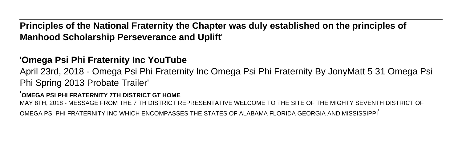**Principles of the National Fraternity the Chapter was duly established on the principles of Manhood Scholarship Perseverance and Uplift**'

### '**Omega Psi Phi Fraternity Inc YouTube**

April 23rd, 2018 - Omega Psi Phi Fraternity Inc Omega Psi Phi Fraternity By JonyMatt 5 31 Omega Psi Phi Spring 2013 Probate Trailer'

#### '**OMEGA PSI PHI FRATERNITY 7TH DISTRICT GT HOME**

MAY 8TH, 2018 - MESSAGE FROM THE 7 TH DISTRICT REPRESENTATIVE WELCOME TO THE SITE OF THE MIGHTY SEVENTH DISTRICT OF

OMEGA PSI PHI FRATERNITY INC WHICH ENCOMPASSES THE STATES OF ALABAMA FLORIDA GEORGIA AND MISSISSIPPI'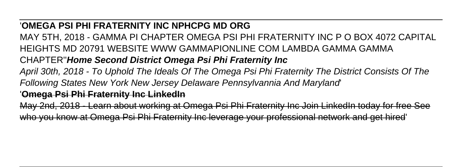### '**OMEGA PSI PHI FRATERNITY INC NPHCPG MD ORG**

MAY 5TH, 2018 - GAMMA PI CHAPTER OMEGA PSI PHI FRATERNITY INC P O BOX 4072 CAPITAL HEIGHTS MD 20791 WEBSITE WWW GAMMAPIONLINE COM LAMBDA GAMMA GAMMA

# CHAPTER''**Home Second District Omega Psi Phi Fraternity Inc**

April 30th, 2018 - To Uphold The Ideals Of The Omega Psi Phi Fraternity The District Consists Of The Following States New York New Jersey Delaware Pennsylvannia And Maryland'

### '**Omega Psi Phi Fraternity Inc LinkedIn**

May 2nd, 2018 - Learn about working at Omega Psi Phi Fraternity Inc Join LinkedIn today for free See who you know at Omega Psi Phi Fraternity Inc leverage your professional network and get hired'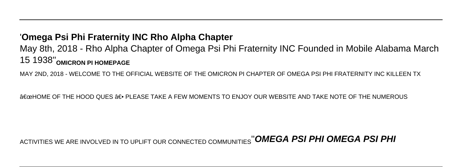#### '**Omega Psi Phi Fraternity INC Rho Alpha Chapter**

May 8th, 2018 - Rho Alpha Chapter of Omega Psi Phi Fraternity INC Founded in Mobile Alabama March 15 1938''**OMICRON PI HOMEPAGE**

MAY 2ND, 2018 - WELCOME TO THE OFFICIAL WEBSITE OF THE OMICRON PI CHAPTER OF OMEGA PSI PHI FRATERNITY INC KILLEEN TX

A€œHOME OF THE HOOD QUES A E• PLEASE TAKE A FEW MOMENTS TO ENJOY OUR WEBSITE AND TAKE NOTE OF THE NUMEROUS

# ACTIVITIES WE ARE INVOLVED IN TO UPLIFT OUR CONNECTED COMMUNITIES''**OMEGA PSI PHI OMEGA PSI PHI**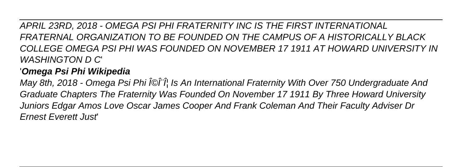APRIL 23RD, 2018 - OMEGA PSI PHI FRATERNITY INC IS THE FIRST INTERNATIONAL FRATERNAL ORGANIZATION TO BE FOUNDED ON THE CAMPUS OF A HISTORICALLY BLACK COLLEGE OMEGA PSI PHI WAS FOUNDED ON NOVEMBER 17 1911 AT HOWARD UNIVERSITY IN WASHINGTON D C'

# '**Omega Psi Phi Wikipedia**

May 8th, 2018 - Omega Psi Phi ΩΠΦ Is An International Fraternity With Over 750 Undergraduate And Graduate Chapters The Fraternity Was Founded On November 17 1911 By Three Howard University Juniors Edgar Amos Love Oscar James Cooper And Frank Coleman And Their Faculty Adviser Dr Ernest Everett Just'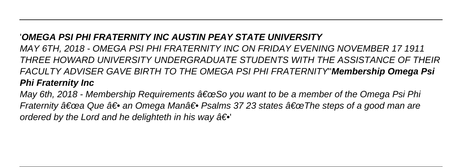### '**OMEGA PSI PHI FRATERNITY INC AUSTIN PEAY STATE UNIVERSITY**

MAY 6TH, 2018 - OMEGA PSI PHI FRATERNITY INC ON FRIDAY EVENING NOVEMBER 17 1911 THREE HOWARD UNIVERSITY UNDERGRADUATE STUDENTS WITH THE ASSISTANCE OF THEIR FACULTY ADVISER GAVE BIRTH TO THE OMEGA PSI PHI FRATERNITY''**Membership Omega Psi Phi Fraternity Inc**

May 6th, 2018 - Membership Requirements  $\hat{\alpha} \in \infty$ So you want to be a member of the Omega Psi Phi Fraternity  $\hat{a} \in \hat{c}$  Que  $\hat{a} \in \bullet$  an Omega Man $\hat{a} \in \bullet$  Psalms 37 23 states  $\hat{a} \in \infty$  The steps of a good man are ordered by the Lord and he delighteth in his way  $\hat{a} \in \Phi$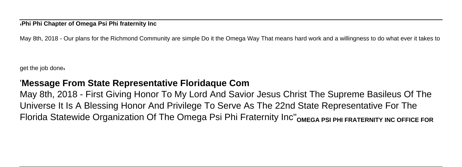'**Phi Phi Chapter of Omega Psi Phi fraternity Inc**

May 8th, 2018 - Our plans for the Richmond Community are simple Do it the Omega Way That means hard work and a willingness to do what ever it takes to

get the job done'

#### '**Message From State Representative Floridaque Com**

May 8th, 2018 - First Giving Honor To My Lord And Savior Jesus Christ The Supreme Basileus Of The Universe It Is A Blessing Honor And Privilege To Serve As The 22nd State Representative For The Florida Statewide Organization Of The Omega Psi Phi Fraternity Inc''**OMEGA PSI PHI FRATERNITY INC OFFICE FOR**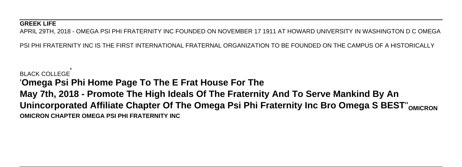#### **GREEK LIFE**

APRIL 29TH, 2018 - OMEGA PSI PHI FRATERNITY INC FOUNDED ON NOVEMBER 17 1911 AT HOWARD UNIVERSITY IN WASHINGTON D C OMEGA

PSI PHI FRATERNITY INC IS THE FIRST INTERNATIONAL FRATERNAL ORGANIZATION TO BE FOUNDED ON THE CAMPUS OF A HISTORICALLY

BLACK COLLEGE' '**Omega Psi Phi Home Page To The E Frat House For The May 7th, 2018 - Promote The High Ideals Of The Fraternity And To Serve Mankind By An Unincorporated Affiliate Chapter Of The Omega Psi Phi Fraternity Inc Bro Omega S BEST**''**OMICRON OMICRON CHAPTER OMEGA PSI PHI FRATERNITY INC**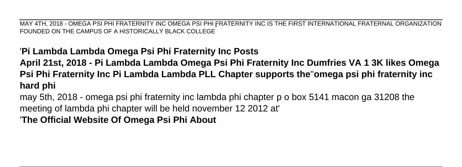MAY 4TH, 2018 - OMEGA PSI PHI FRATERNITY INC OMEGA PSI PHI FRATERNITY INC IS THE FIRST INTERNATIONAL FRATERNAL ORGANIZATION FOUNDED ON THE CAMPUS OF A HISTORICALLY BLACK COLLEGE'

### '**Pi Lambda Lambda Omega Psi Phi Fraternity Inc Posts**

**April 21st, 2018 - Pi Lambda Lambda Omega Psi Phi Fraternity Inc Dumfries VA 1 3K likes Omega Psi Phi Fraternity Inc Pi Lambda Lambda PLL Chapter supports the**''**omega psi phi fraternity inc hard phi**

may 5th, 2018 - omega psi phi fraternity inc lambda phi chapter p o box 5141 macon ga 31208 the meeting of lambda phi chapter will be held november 12 2012 at'

'**The Official Website Of Omega Psi Phi About**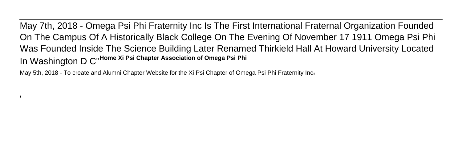May 7th, 2018 - Omega Psi Phi Fraternity Inc Is The First International Fraternal Organization Founded On The Campus Of A Historically Black College On The Evening Of November 17 1911 Omega Psi Phi Was Founded Inside The Science Building Later Renamed Thirkield Hall At Howard University Located In Washington D C''**Home Xi Psi Chapter Association of Omega Psi Phi**

May 5th, 2018 - To create and Alumni Chapter Website for the Xi Psi Chapter of Omega Psi Phi Fraternity Inci

'